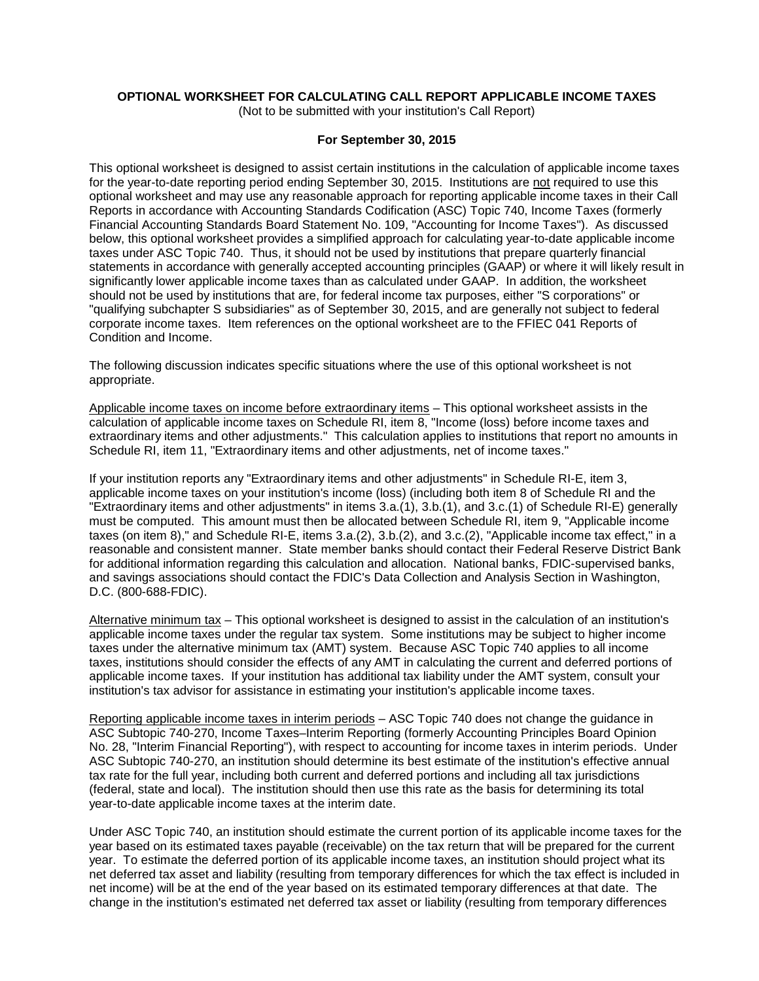# **OPTIONAL WORKSHEET FOR CALCULATING CALL REPORT APPLICABLE INCOME TAXES**

(Not to be submitted with your institution's Call Report)

# **For September 30, 2015**

This optional worksheet is designed to assist certain institutions in the calculation of applicable income taxes for the year-to-date reporting period ending September 30, 2015. Institutions are not required to use this optional worksheet and may use any reasonable approach for reporting applicable income taxes in their Call Reports in accordance with Accounting Standards Codification (ASC) Topic 740, Income Taxes (formerly Financial Accounting Standards Board Statement No. 109, "Accounting for Income Taxes"). As discussed below, this optional worksheet provides a simplified approach for calculating year-to-date applicable income taxes under ASC Topic 740. Thus, it should not be used by institutions that prepare quarterly financial statements in accordance with generally accepted accounting principles (GAAP) or where it will likely result in significantly lower applicable income taxes than as calculated under GAAP. In addition, the worksheet should not be used by institutions that are, for federal income tax purposes, either "S corporations" or "qualifying subchapter S subsidiaries" as of September 30, 2015, and are generally not subject to federal corporate income taxes. Item references on the optional worksheet are to the FFIEC 041 Reports of Condition and Income.

The following discussion indicates specific situations where the use of this optional worksheet is not appropriate.

Applicable income taxes on income before extraordinary items – This optional worksheet assists in the calculation of applicable income taxes on Schedule RI, item 8, "Income (loss) before income taxes and extraordinary items and other adjustments." This calculation applies to institutions that report no amounts in Schedule RI, item 11, "Extraordinary items and other adjustments, net of income taxes."

If your institution reports any "Extraordinary items and other adjustments" in Schedule RI-E, item 3, applicable income taxes on your institution's income (loss) (including both item 8 of Schedule RI and the "Extraordinary items and other adjustments" in items 3.a.(1), 3.b.(1), and 3.c.(1) of Schedule RI-E) generally must be computed. This amount must then be allocated between Schedule RI, item 9, "Applicable income taxes (on item 8)," and Schedule RI-E, items 3.a.(2), 3.b.(2), and 3.c.(2), "Applicable income tax effect," in a reasonable and consistent manner. State member banks should contact their Federal Reserve District Bank for additional information regarding this calculation and allocation. National banks, FDIC-supervised banks, and savings associations should contact the FDIC's Data Collection and Analysis Section in Washington, D.C. (800-688-FDIC).

Alternative minimum tax – This optional worksheet is designed to assist in the calculation of an institution's applicable income taxes under the regular tax system. Some institutions may be subject to higher income taxes under the alternative minimum tax (AMT) system. Because ASC Topic 740 applies to all income taxes, institutions should consider the effects of any AMT in calculating the current and deferred portions of applicable income taxes. If your institution has additional tax liability under the AMT system, consult your institution's tax advisor for assistance in estimating your institution's applicable income taxes.

Reporting applicable income taxes in interim periods – ASC Topic 740 does not change the guidance in ASC Subtopic 740-270, Income Taxes–Interim Reporting (formerly Accounting Principles Board Opinion No. 28, "Interim Financial Reporting"), with respect to accounting for income taxes in interim periods. Under ASC Subtopic 740-270, an institution should determine its best estimate of the institution's effective annual tax rate for the full year, including both current and deferred portions and including all tax jurisdictions (federal, state and local). The institution should then use this rate as the basis for determining its total year-to-date applicable income taxes at the interim date.

Under ASC Topic 740, an institution should estimate the current portion of its applicable income taxes for the year based on its estimated taxes payable (receivable) on the tax return that will be prepared for the current year. To estimate the deferred portion of its applicable income taxes, an institution should project what its net deferred tax asset and liability (resulting from temporary differences for which the tax effect is included in net income) will be at the end of the year based on its estimated temporary differences at that date. The change in the institution's estimated net deferred tax asset or liability (resulting from temporary differences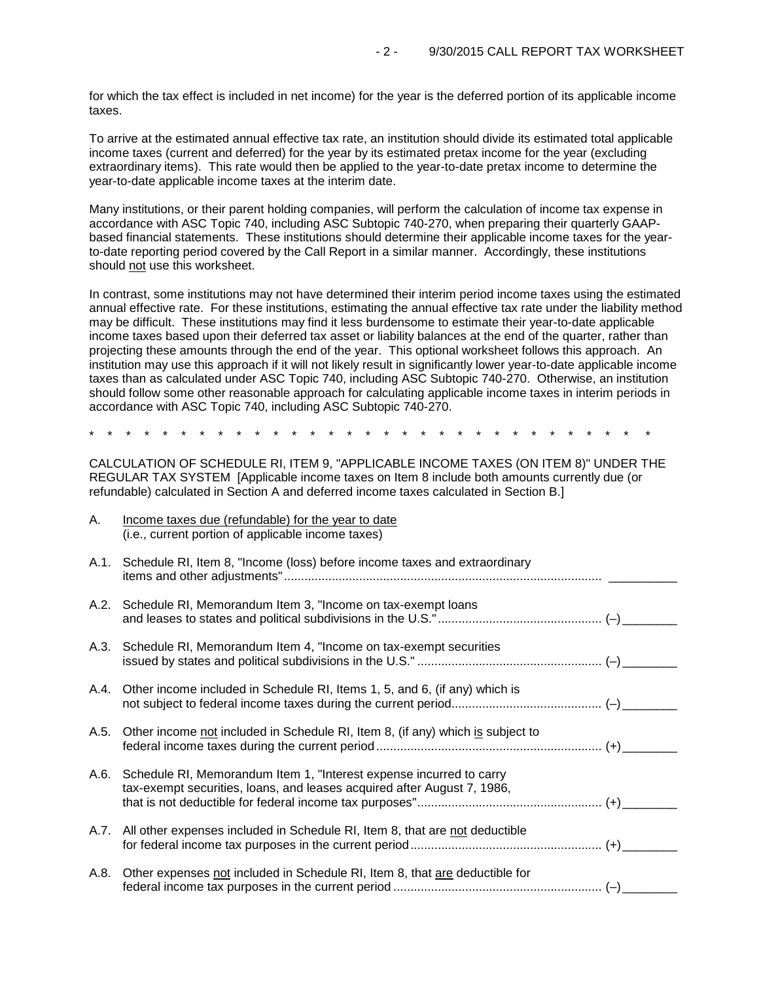for which the tax effect is included in net income) for the year is the deferred portion of its applicable income taxes.

To arrive at the estimated annual effective tax rate, an institution should divide its estimated total applicable income taxes (current and deferred) for the year by its estimated pretax income for the year (excluding extraordinary items). This rate would then be applied to the year-to-date pretax income to determine the year-to-date applicable income taxes at the interim date.

Many institutions, or their parent holding companies, will perform the calculation of income tax expense in accordance with ASC Topic 740, including ASC Subtopic 740-270, when preparing their quarterly GAAPbased financial statements. These institutions should determine their applicable income taxes for the yearto-date reporting period covered by the Call Report in a similar manner. Accordingly, these institutions should not use this worksheet.

In contrast, some institutions may not have determined their interim period income taxes using the estimated annual effective rate. For these institutions, estimating the annual effective tax rate under the liability method may be difficult. These institutions may find it less burdensome to estimate their year-to-date applicable income taxes based upon their deferred tax asset or liability balances at the end of the quarter, rather than projecting these amounts through the end of the year. This optional worksheet follows this approach. An institution may use this approach if it will not likely result in significantly lower year-to-date applicable income taxes than as calculated under ASC Topic 740, including ASC Subtopic 740-270. Otherwise, an institution should follow some other reasonable approach for calculating applicable income taxes in interim periods in accordance with ASC Topic 740, including ASC Subtopic 740-270.

\* \* \* \* \* \* \* \* \* \* \* \* \* \* \* \* \* \* \* \* \* \* \* \* \* \* \* \* \* \* \*

CALCULATION OF SCHEDULE RI, ITEM 9, "APPLICABLE INCOME TAXES (ON ITEM 8)" UNDER THE REGULAR TAX SYSTEM [Applicable income taxes on Item 8 include both amounts currently due (or refundable) calculated in Section A and deferred income taxes calculated in Section B.]

| А.   | Income taxes due (refundable) for the year to date<br>(i.e., current portion of applicable income taxes)                                       |  |
|------|------------------------------------------------------------------------------------------------------------------------------------------------|--|
|      | A.1. Schedule RI, Item 8, "Income (loss) before income taxes and extraordinary                                                                 |  |
|      | A.2. Schedule RI, Memorandum Item 3, "Income on tax-exempt loans                                                                               |  |
|      | A.3. Schedule RI, Memorandum Item 4, "Income on tax-exempt securities                                                                          |  |
|      | A.4. Other income included in Schedule RI, Items 1, 5, and 6, (if any) which is                                                                |  |
| A.5. | Other income not included in Schedule RI, Item 8, (if any) which is subject to                                                                 |  |
| A.6. | Schedule RI, Memorandum Item 1, "Interest expense incurred to carry<br>tax-exempt securities, loans, and leases acquired after August 7, 1986, |  |
|      | A.7. All other expenses included in Schedule RI, Item 8, that are not deductible                                                               |  |
| A.8. | Other expenses not included in Schedule RI, Item 8, that are deductible for                                                                    |  |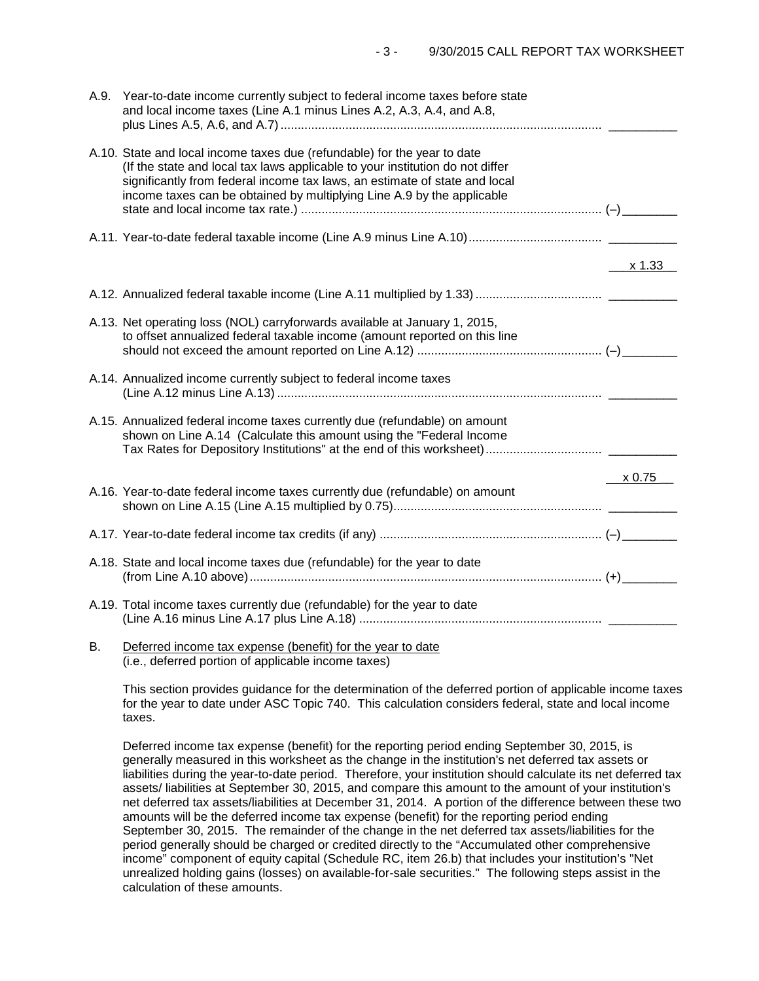|    | A.9. Year-to-date income currently subject to federal income taxes before state<br>and local income taxes (Line A.1 minus Lines A.2, A.3, A.4, and A.8,                                                                                                                                                           |           |
|----|-------------------------------------------------------------------------------------------------------------------------------------------------------------------------------------------------------------------------------------------------------------------------------------------------------------------|-----------|
|    | A.10. State and local income taxes due (refundable) for the year to date<br>(If the state and local tax laws applicable to your institution do not differ<br>significantly from federal income tax laws, an estimate of state and local<br>income taxes can be obtained by multiplying Line A.9 by the applicable |           |
|    |                                                                                                                                                                                                                                                                                                                   |           |
|    |                                                                                                                                                                                                                                                                                                                   | _x 1.33__ |
|    |                                                                                                                                                                                                                                                                                                                   |           |
|    | A.13. Net operating loss (NOL) carryforwards available at January 1, 2015,<br>to offset annualized federal taxable income (amount reported on this line                                                                                                                                                           |           |
|    | A.14. Annualized income currently subject to federal income taxes                                                                                                                                                                                                                                                 |           |
|    | A.15. Annualized federal income taxes currently due (refundable) on amount<br>shown on Line A.14 (Calculate this amount using the "Federal Income                                                                                                                                                                 |           |
|    |                                                                                                                                                                                                                                                                                                                   | x 0.75    |
|    | A.16. Year-to-date federal income taxes currently due (refundable) on amount                                                                                                                                                                                                                                      |           |
|    |                                                                                                                                                                                                                                                                                                                   |           |
|    | A.18. State and local income taxes due (refundable) for the year to date                                                                                                                                                                                                                                          |           |
|    | A.19. Total income taxes currently due (refundable) for the year to date                                                                                                                                                                                                                                          |           |
| Β. | Deferred income tax expense (benefit) for the year to date                                                                                                                                                                                                                                                        |           |

(i.e., deferred portion of applicable income taxes)

This section provides guidance for the determination of the deferred portion of applicable income taxes for the year to date under ASC Topic 740. This calculation considers federal, state and local income taxes.

Deferred income tax expense (benefit) for the reporting period ending September 30, 2015, is generally measured in this worksheet as the change in the institution's net deferred tax assets or liabilities during the year-to-date period. Therefore, your institution should calculate its net deferred tax assets/ liabilities at September 30, 2015, and compare this amount to the amount of your institution's net deferred tax assets/liabilities at December 31, 2014. A portion of the difference between these two amounts will be the deferred income tax expense (benefit) for the reporting period ending September 30, 2015. The remainder of the change in the net deferred tax assets/liabilities for the period generally should be charged or credited directly to the "Accumulated other comprehensive income" component of equity capital (Schedule RC, item 26.b) that includes your institution's "Net unrealized holding gains (losses) on available-for-sale securities." The following steps assist in the calculation of these amounts.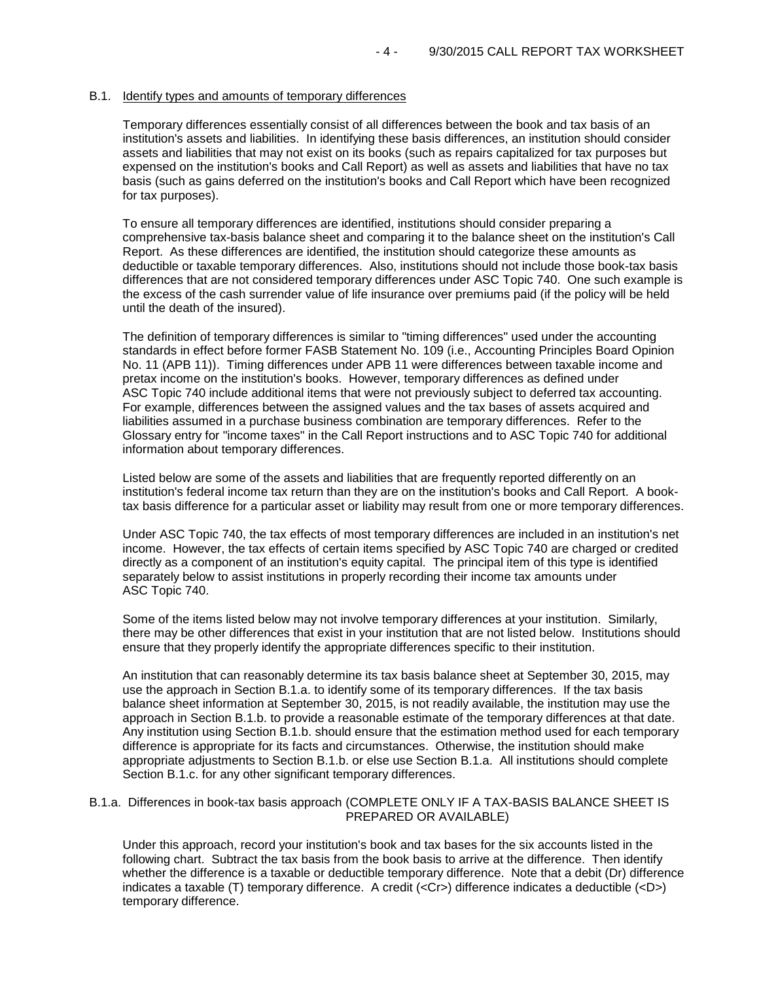## B.1. Identify types and amounts of temporary differences

Temporary differences essentially consist of all differences between the book and tax basis of an institution's assets and liabilities. In identifying these basis differences, an institution should consider assets and liabilities that may not exist on its books (such as repairs capitalized for tax purposes but expensed on the institution's books and Call Report) as well as assets and liabilities that have no tax basis (such as gains deferred on the institution's books and Call Report which have been recognized for tax purposes).

To ensure all temporary differences are identified, institutions should consider preparing a comprehensive tax-basis balance sheet and comparing it to the balance sheet on the institution's Call Report. As these differences are identified, the institution should categorize these amounts as deductible or taxable temporary differences. Also, institutions should not include those book-tax basis differences that are not considered temporary differences under ASC Topic 740. One such example is the excess of the cash surrender value of life insurance over premiums paid (if the policy will be held until the death of the insured).

The definition of temporary differences is similar to "timing differences" used under the accounting standards in effect before former FASB Statement No. 109 (i.e., Accounting Principles Board Opinion No. 11 (APB 11)). Timing differences under APB 11 were differences between taxable income and pretax income on the institution's books. However, temporary differences as defined under ASC Topic 740 include additional items that were not previously subject to deferred tax accounting. For example, differences between the assigned values and the tax bases of assets acquired and liabilities assumed in a purchase business combination are temporary differences. Refer to the Glossary entry for "income taxes" in the Call Report instructions and to ASC Topic 740 for additional information about temporary differences.

Listed below are some of the assets and liabilities that are frequently reported differently on an institution's federal income tax return than they are on the institution's books and Call Report. A booktax basis difference for a particular asset or liability may result from one or more temporary differences.

Under ASC Topic 740, the tax effects of most temporary differences are included in an institution's net income. However, the tax effects of certain items specified by ASC Topic 740 are charged or credited directly as a component of an institution's equity capital. The principal item of this type is identified separately below to assist institutions in properly recording their income tax amounts under ASC Topic 740.

Some of the items listed below may not involve temporary differences at your institution. Similarly, there may be other differences that exist in your institution that are not listed below. Institutions should ensure that they properly identify the appropriate differences specific to their institution.

An institution that can reasonably determine its tax basis balance sheet at September 30, 2015, may use the approach in Section B.1.a. to identify some of its temporary differences. If the tax basis balance sheet information at September 30, 2015, is not readily available, the institution may use the approach in Section B.1.b. to provide a reasonable estimate of the temporary differences at that date. Any institution using Section B.1.b. should ensure that the estimation method used for each temporary difference is appropriate for its facts and circumstances. Otherwise, the institution should make appropriate adjustments to Section B.1.b. or else use Section B.1.a. All institutions should complete Section B.1.c. for any other significant temporary differences.

## B.1.a. Differences in book-tax basis approach (COMPLETE ONLY IF A TAX-BASIS BALANCE SHEET IS PREPARED OR AVAILABLE)

Under this approach, record your institution's book and tax bases for the six accounts listed in the following chart. Subtract the tax basis from the book basis to arrive at the difference. Then identify whether the difference is a taxable or deductible temporary difference. Note that a debit (Dr) difference indicates a taxable (T) temporary difference. A credit (<Cr>) difference indicates a deductible (<D>) temporary difference.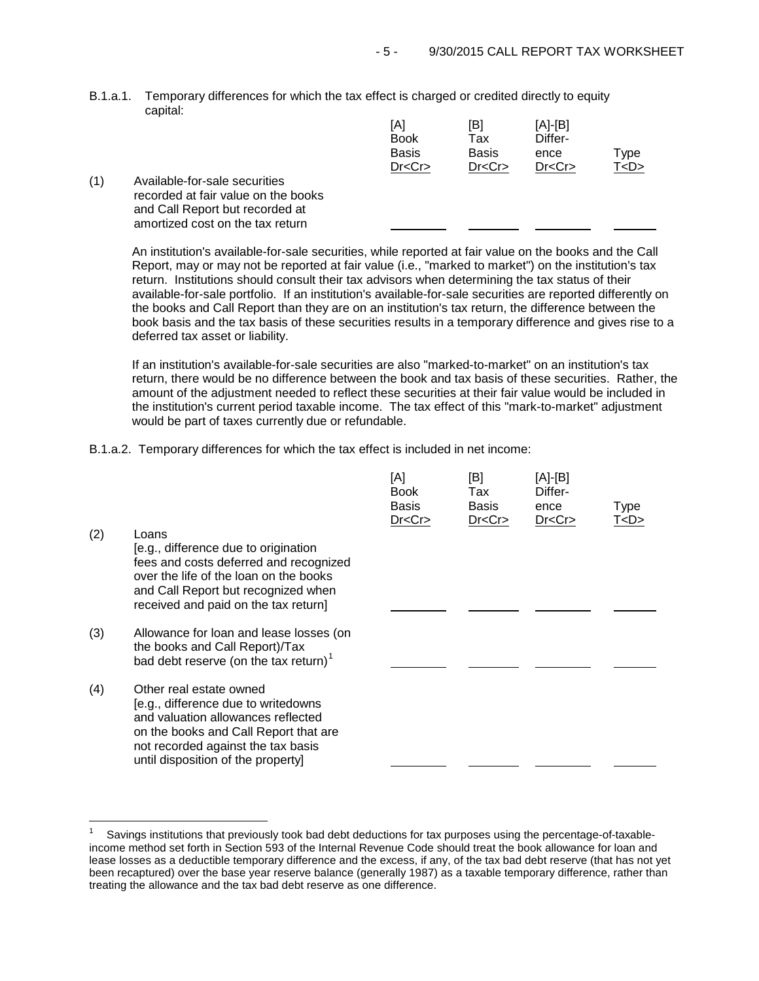B.1.a.1. Temporary differences for which the tax effect is charged or credited directly to equity capital:

|     |                                                                                                                                             | [A]<br><b>Book</b><br><b>Basis</b><br>Dr < Cr | [B]<br>Tax<br><b>Basis</b><br>Dr < Cr | $[A]-[B]$<br>Differ-<br>ence<br>Dr < Cr | Type<br>T < D > |
|-----|---------------------------------------------------------------------------------------------------------------------------------------------|-----------------------------------------------|---------------------------------------|-----------------------------------------|-----------------|
| (1) | Available-for-sale securities<br>recorded at fair value on the books<br>and Call Report but recorded at<br>amortized cost on the tax return |                                               |                                       |                                         |                 |

An institution's available-for-sale securities, while reported at fair value on the books and the Call Report, may or may not be reported at fair value (i.e., "marked to market") on the institution's tax return. Institutions should consult their tax advisors when determining the tax status of their available-for-sale portfolio. If an institution's available-for-sale securities are reported differently on the books and Call Report than they are on an institution's tax return, the difference between the book basis and the tax basis of these securities results in a temporary difference and gives rise to a deferred tax asset or liability.

If an institution's available-for-sale securities are also "marked-to-market" on an institution's tax return, there would be no difference between the book and tax basis of these securities. Rather, the amount of the adjustment needed to reflect these securities at their fair value would be included in the institution's current period taxable income. The tax effect of this "mark-to-market" adjustment would be part of taxes currently due or refundable.

B.1.a.2. Temporary differences for which the tax effect is included in net income:

|     |                                                                                                                                                                                                                           | [A]<br><b>Book</b><br><b>Basis</b><br>Dr < Cr | [B]<br>Tax<br><b>Basis</b><br>Dr < Cr | [A]-[B]<br>Differ-<br>ence<br>Dr < Cr | Type<br><u>T<d></d></u> |
|-----|---------------------------------------------------------------------------------------------------------------------------------------------------------------------------------------------------------------------------|-----------------------------------------------|---------------------------------------|---------------------------------------|-------------------------|
| (2) | Loans<br>[e.g., difference due to origination<br>fees and costs deferred and recognized<br>over the life of the loan on the books<br>and Call Report but recognized when<br>received and paid on the tax return]          |                                               |                                       |                                       |                         |
| (3) | Allowance for loan and lease losses (on<br>the books and Call Report)/Tax<br>bad debt reserve (on the tax return) $1$                                                                                                     |                                               |                                       |                                       |                         |
| (4) | Other real estate owned<br>[e.g., difference due to writedowns<br>and valuation allowances reflected<br>on the books and Call Report that are<br>not recorded against the tax basis<br>until disposition of the property] |                                               |                                       |                                       |                         |

<span id="page-4-0"></span> $\overline{1}$ 1 Savings institutions that previously took bad debt deductions for tax purposes using the percentage-of-taxableincome method set forth in Section 593 of the Internal Revenue Code should treat the book allowance for loan and lease losses as a deductible temporary difference and the excess, if any, of the tax bad debt reserve (that has not yet been recaptured) over the base year reserve balance (generally 1987) as a taxable temporary difference, rather than treating the allowance and the tax bad debt reserve as one difference.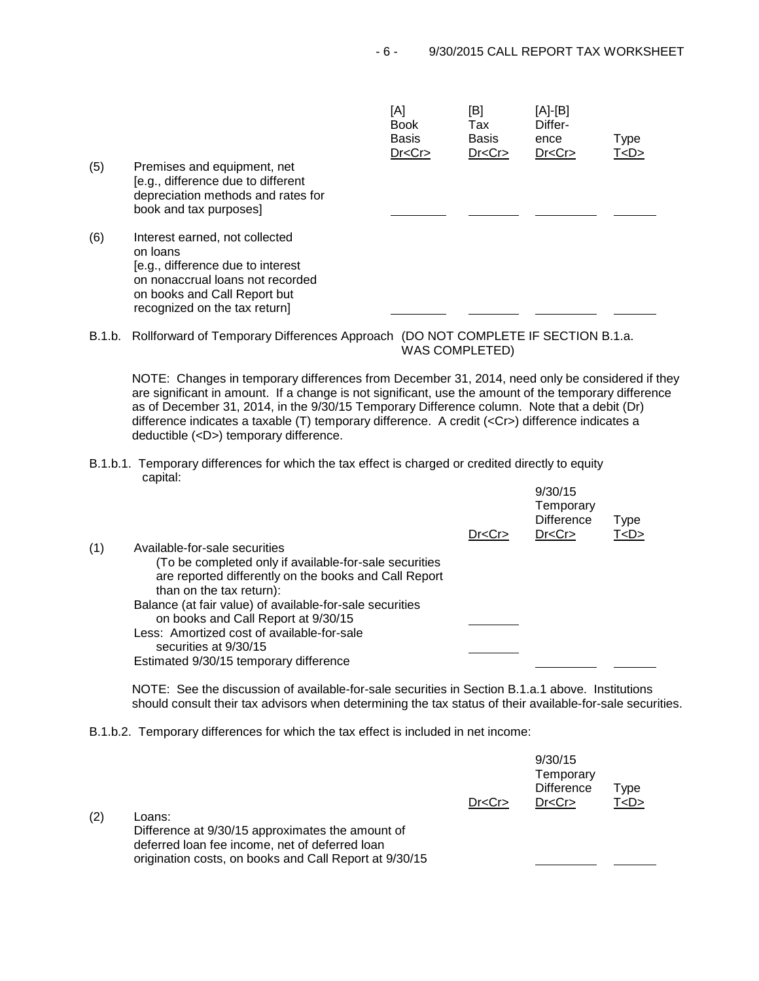|     |                                                                                                                                                                                      | [A]<br><b>Book</b><br><b>Basis</b><br>Dr < Cr | [B]<br>Tax<br><b>Basis</b><br>Dr < Cr | [A]-[B]<br>Differ-<br>ence<br>Dr < Cr | <b>Type</b><br>T < D > |
|-----|--------------------------------------------------------------------------------------------------------------------------------------------------------------------------------------|-----------------------------------------------|---------------------------------------|---------------------------------------|------------------------|
| (5) | Premises and equipment, net<br>[e.g., difference due to different<br>depreciation methods and rates for<br>book and tax purposes]                                                    |                                               |                                       |                                       |                        |
| (6) | Interest earned, not collected<br>on loans<br>[e.g., difference due to interest<br>on nonaccrual loans not recorded<br>on books and Call Report but<br>recognized on the tax return] |                                               |                                       |                                       |                        |

B.1.b. Rollforward of Temporary Differences Approach (DO NOT COMPLETE IF SECTION B.1.a. WAS COMPLETED)

NOTE: Changes in temporary differences from December 31, 2014, need only be considered if they are significant in amount. If a change is not significant, use the amount of the temporary difference as of December 31, 2014, in the 9/30/15 Temporary Difference column. Note that a debit (Dr) difference indicates a taxable (T) temporary difference. A credit (<Cr>) difference indicates a deductible (<D>) temporary difference.

B.1.b.1. Temporary differences for which the tax effect is charged or credited directly to equity capital:

|     |                                                          |         | 9/30/15<br>Temporary<br><b>Difference</b> | <b>Type</b> |  |
|-----|----------------------------------------------------------|---------|-------------------------------------------|-------------|--|
| (1) | Available-for-sale securities                            | Dr < Cr | Dr < Cr                                   | T < D >     |  |
|     |                                                          |         |                                           |             |  |
|     | (To be completed only if available-for-sale securities   |         |                                           |             |  |
|     | are reported differently on the books and Call Report    |         |                                           |             |  |
|     | than on the tax return):                                 |         |                                           |             |  |
|     | Balance (at fair value) of available-for-sale securities |         |                                           |             |  |
|     | on books and Call Report at 9/30/15                      |         |                                           |             |  |
|     | Less: Amortized cost of available-for-sale               |         |                                           |             |  |
|     | securities at 9/30/15                                    |         |                                           |             |  |
|     | Estimated 9/30/15 temporary difference                   |         |                                           |             |  |
|     |                                                          |         |                                           |             |  |

NOTE: See the discussion of available-for-sale securities in Section B.1.a.1 above. Institutions should consult their tax advisors when determining the tax status of their available-for-sale securities.

9/30/15

B.1.b.2. Temporary differences for which the tax effect is included in net income:

|     |                                                                                                                                                                        | Dr < Cr | <u>JJJJIJJ</u><br>Temporary<br><b>Difference</b><br>Dr < Cr | Type<br>T < D > |
|-----|------------------------------------------------------------------------------------------------------------------------------------------------------------------------|---------|-------------------------------------------------------------|-----------------|
| (2) | Loans:<br>Difference at 9/30/15 approximates the amount of<br>deferred loan fee income, net of deferred loan<br>origination costs, on books and Call Report at 9/30/15 |         |                                                             |                 |
|     |                                                                                                                                                                        |         |                                                             |                 |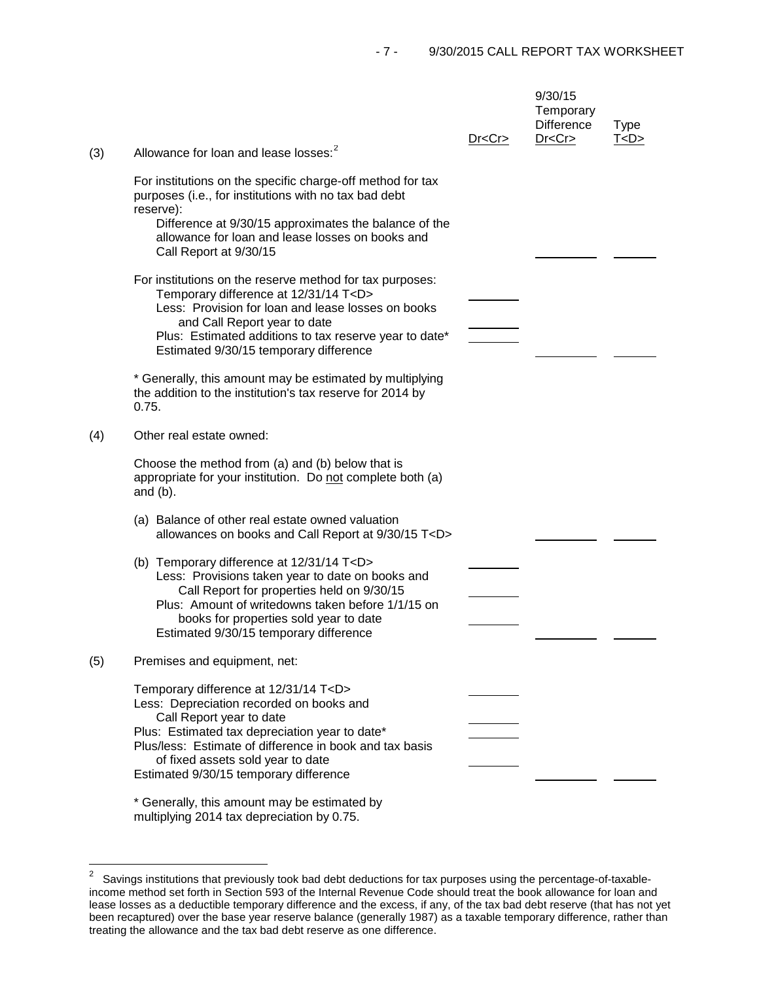| (3) | Allowance for loan and lease losses: <sup>2</sup>                                                                                                                                                                                                                                                                                                                     | Dr < Cr | 9/30/15<br>Temporary<br><b>Difference</b><br>Dr < Cr | <b>Type</b><br>T < D > |
|-----|-----------------------------------------------------------------------------------------------------------------------------------------------------------------------------------------------------------------------------------------------------------------------------------------------------------------------------------------------------------------------|---------|------------------------------------------------------|------------------------|
|     | For institutions on the specific charge-off method for tax<br>purposes (i.e., for institutions with no tax bad debt<br>reserve):<br>Difference at 9/30/15 approximates the balance of the<br>allowance for loan and lease losses on books and<br>Call Report at 9/30/15                                                                                               |         |                                                      |                        |
|     | For institutions on the reserve method for tax purposes:<br>Temporary difference at 12/31/14 T <d><br/>Less: Provision for loan and lease losses on books<br/>and Call Report year to date<br/>Plus: Estimated additions to tax reserve year to date*<br/>Estimated 9/30/15 temporary difference</d>                                                                  |         |                                                      |                        |
|     | * Generally, this amount may be estimated by multiplying<br>the addition to the institution's tax reserve for 2014 by<br>0.75.                                                                                                                                                                                                                                        |         |                                                      |                        |
| (4) | Other real estate owned:                                                                                                                                                                                                                                                                                                                                              |         |                                                      |                        |
|     | Choose the method from (a) and (b) below that is<br>appropriate for your institution. Do not complete both (a)<br>and $(b)$ .                                                                                                                                                                                                                                         |         |                                                      |                        |
|     | (a) Balance of other real estate owned valuation<br>allowances on books and Call Report at 9/30/15 T <d></d>                                                                                                                                                                                                                                                          |         |                                                      |                        |
|     | (b) Temporary difference at 12/31/14 T <d><br/>Less: Provisions taken year to date on books and<br/>Call Report for properties held on 9/30/15<br/>Plus: Amount of writedowns taken before 1/1/15 on<br/>books for properties sold year to date<br/>Estimated 9/30/15 temporary difference</d>                                                                        |         |                                                      |                        |
| (5) | Premises and equipment, net:                                                                                                                                                                                                                                                                                                                                          |         |                                                      |                        |
|     | Temporary difference at 12/31/14 T <d><br/>Less: Depreciation recorded on books and<br/>Call Report year to date<br/>Plus: Estimated tax depreciation year to date*<br/>Plus/less: Estimate of difference in book and tax basis<br/>of fixed assets sold year to date<br/>Estimated 9/30/15 temporary difference<br/>* Generally, this amount may be estimated by</d> |         |                                                      |                        |

multiplying 2014 tax depreciation by 0.75.

<span id="page-6-0"></span> $\overline{\mathbf{c}}$ 2 Savings institutions that previously took bad debt deductions for tax purposes using the percentage-of-taxableincome method set forth in Section 593 of the Internal Revenue Code should treat the book allowance for loan and lease losses as a deductible temporary difference and the excess, if any, of the tax bad debt reserve (that has not yet been recaptured) over the base year reserve balance (generally 1987) as a taxable temporary difference, rather than treating the allowance and the tax bad debt reserve as one difference.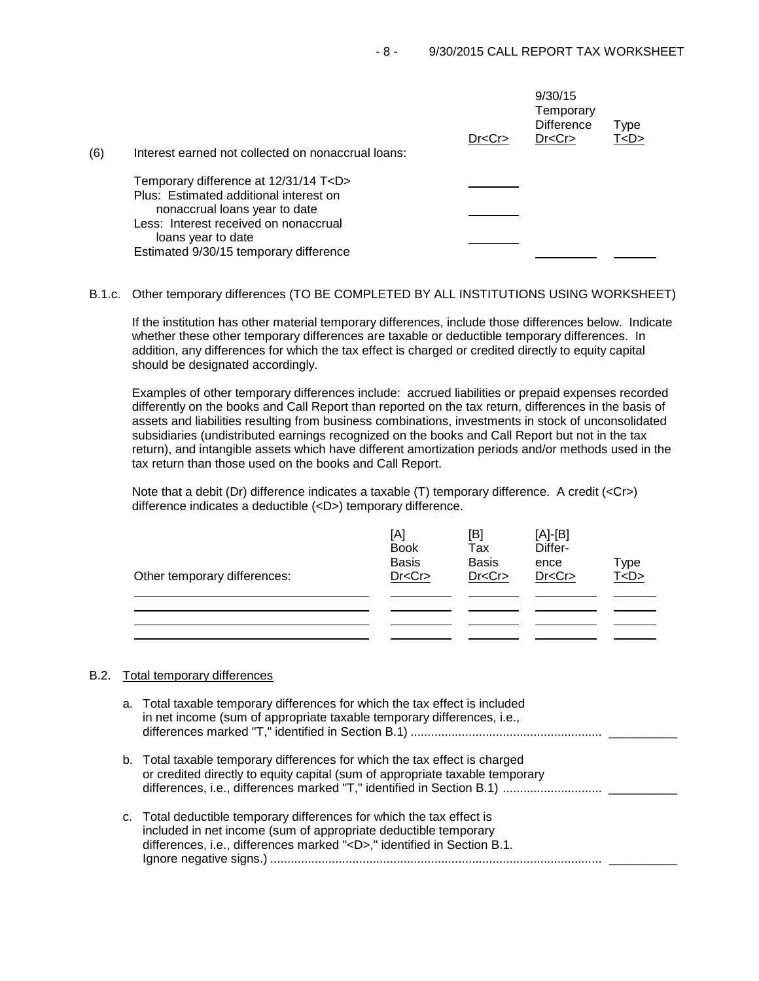|     |                                                                                                                                                                                                                                     | Dr < Cr | 9/30/15<br>Temporary<br><b>Difference</b><br>Dr < Cr | Type<br>T < D > |
|-----|-------------------------------------------------------------------------------------------------------------------------------------------------------------------------------------------------------------------------------------|---------|------------------------------------------------------|-----------------|
| (6) | Interest earned not collected on nonaccrual loans:                                                                                                                                                                                  |         |                                                      |                 |
|     | Temporary difference at 12/31/14 T <d><br/>Plus: Estimated additional interest on<br/>nonaccrual loans year to date<br/>Less: Interest received on nonaccrual<br/>loans year to date<br/>Estimated 9/30/15 temporary difference</d> |         |                                                      |                 |

B.1.c. Other temporary differences (TO BE COMPLETED BY ALL INSTITUTIONS USING WORKSHEET)

If the institution has other material temporary differences, include those differences below. Indicate whether these other temporary differences are taxable or deductible temporary differences. In addition, any differences for which the tax effect is charged or credited directly to equity capital should be designated accordingly.

Examples of other temporary differences include: accrued liabilities or prepaid expenses recorded differently on the books and Call Report than reported on the tax return, differences in the basis of assets and liabilities resulting from business combinations, investments in stock of unconsolidated subsidiaries (undistributed earnings recognized on the books and Call Report but not in the tax return), and intangible assets which have different amortization periods and/or methods used in the tax return than those used on the books and Call Report.

Note that a debit (Dr) difference indicates a taxable (T) temporary difference. A credit (<Cr>> difference indicates a deductible (<D>) temporary difference.

| Other temporary differences: | [A]<br><b>Book</b><br><b>Basis</b><br>Dr < Cr | [B]<br>Tax<br><b>Basis</b><br>Dr < Cr | $[A]-[B]$<br>Differ-<br>ence<br>Dr < Cr | Type<br><u>T<d></d></u> |
|------------------------------|-----------------------------------------------|---------------------------------------|-----------------------------------------|-------------------------|
|                              |                                               |                                       |                                         |                         |
|                              |                                               |                                       |                                         |                         |
|                              |                                               |                                       |                                         |                         |
|                              |                                               |                                       |                                         |                         |

## B.2. Total temporary differences

a. Total taxable temporary differences for which the tax effect is included in net income (sum of appropriate taxable temporary differences, i.e., differences marked "T," identified in Section B.1) ........................................................ \_\_\_\_\_\_\_\_\_\_ b. Total taxable temporary differences for which the tax effect is charged or credited directly to equity capital (sum of appropriate taxable temporary differences, i.e., differences marked "T," identified in Section B.1) ............................. \_\_\_\_\_\_\_\_\_\_ c. Total deductible temporary differences for which the tax effect is included in net income (sum of appropriate deductible temporary differences, i.e., differences marked "<D>," identified in Section B.1.

Ignore negative signs.) ................................................................................................. \_\_\_\_\_\_\_\_\_\_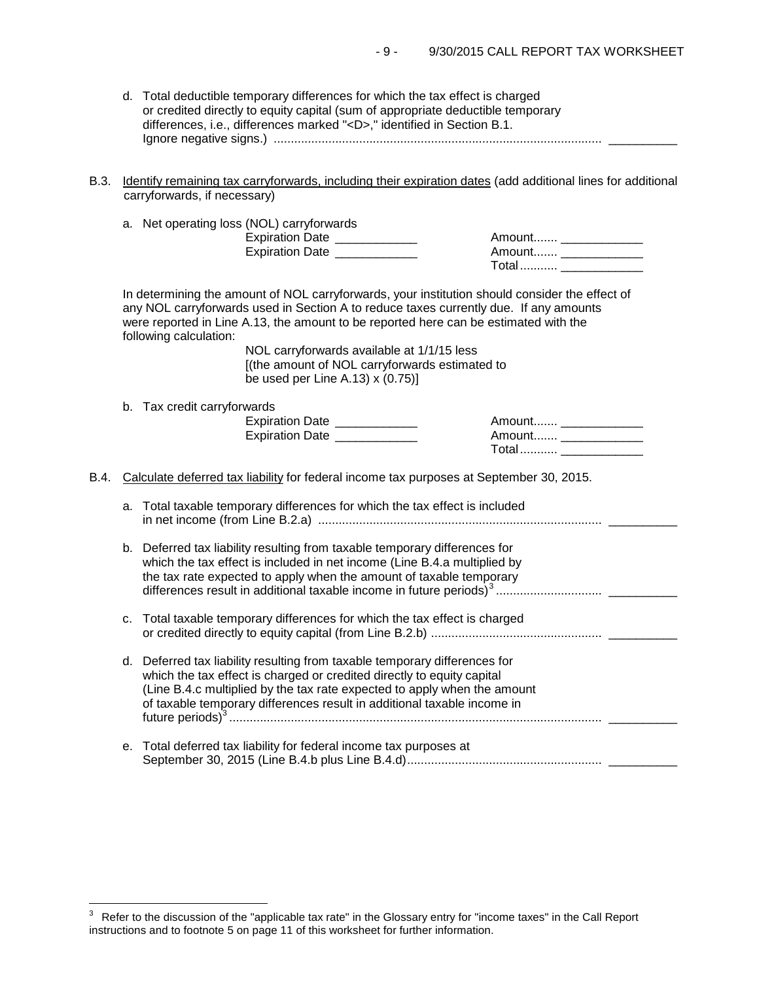- d. Total deductible temporary differences for which the tax effect is charged or credited directly to equity capital (sum of appropriate deductible temporary differences, i.e., differences marked "<D>," identified in Section B.1. Ignore negative signs.) ................................................................................................ \_\_\_\_\_\_\_\_\_\_
- B.3. Identify remaining tax carryforwards, including their expiration dates (add additional lines for additional carryforwards, if necessary)

|  |  |  | a. Net operating loss (NOL) carryforwards |
|--|--|--|-------------------------------------------|
|--|--|--|-------------------------------------------|

Expiration Date \_\_\_\_\_\_\_\_\_\_\_\_ Amount....... \_\_\_\_\_\_\_\_\_\_\_\_ Expiration Date \_\_\_\_\_\_\_\_\_\_\_\_ Amount....... \_\_\_\_\_\_\_\_\_\_\_\_

| Amount |  |
|--------|--|
| Amount |  |
| Total  |  |

In determining the amount of NOL carryforwards, your institution should consider the effect of any NOL carryforwards used in Section A to reduce taxes currently due. If any amounts were reported in Line A.13, the amount to be reported here can be estimated with the following calculation:

> NOL carryforwards available at 1/1/15 less [(the amount of NOL carryforwards estimated to be used per Line A.13) x (0.75)]

b. Tax credit carryforwards

| <b>Expiration Date</b> | Amount |
|------------------------|--------|
| <b>Expiration Date</b> | Amount |
|                        |        |

| <b>AUTOULIGE</b> |  |
|------------------|--|
| Amount           |  |
| Total………         |  |

B.4. Calculate deferred tax liability for federal income tax purposes at September 30, 2015.

| a. Total taxable temporary differences for which the tax effect is included |  |
|-----------------------------------------------------------------------------|--|
|                                                                             |  |
|                                                                             |  |

- b. Deferred tax liability resulting from taxable temporary differences for which the tax effect is included in net income (Line B.4.a multiplied by the tax rate expected to apply when the amount of taxable temporary differences result in additional taxable income in future periods)[3](#page-8-0) ............................... \_\_\_\_\_\_\_\_\_\_
- c. Total taxable temporary differences for which the tax effect is charged or credited directly to equity capital (from Line B.2.b) .................................................. \_\_\_\_\_\_\_\_\_\_
- d. Deferred tax liability resulting from taxable temporary differences for which the tax effect is charged or credited directly to equity capital (Line B.4.c multiplied by the tax rate expected to apply when the amount of taxable temporary differences result in additional taxable income in future periods)<sup>3</sup> ............................................................................................................. \_\_\_\_\_\_\_\_\_\_
- e. Total deferred tax liability for federal income tax purposes at September 30, 2015 (Line B.4.b plus Line B.4.d)......................................................... \_\_\_\_\_\_\_\_\_\_

<span id="page-8-0"></span> $\mathsf 3$ 3 Refer to the discussion of the "applicable tax rate" in the Glossary entry for "income taxes" in the Call Report instructions and to footnote 5 on page 11 of this worksheet for further information.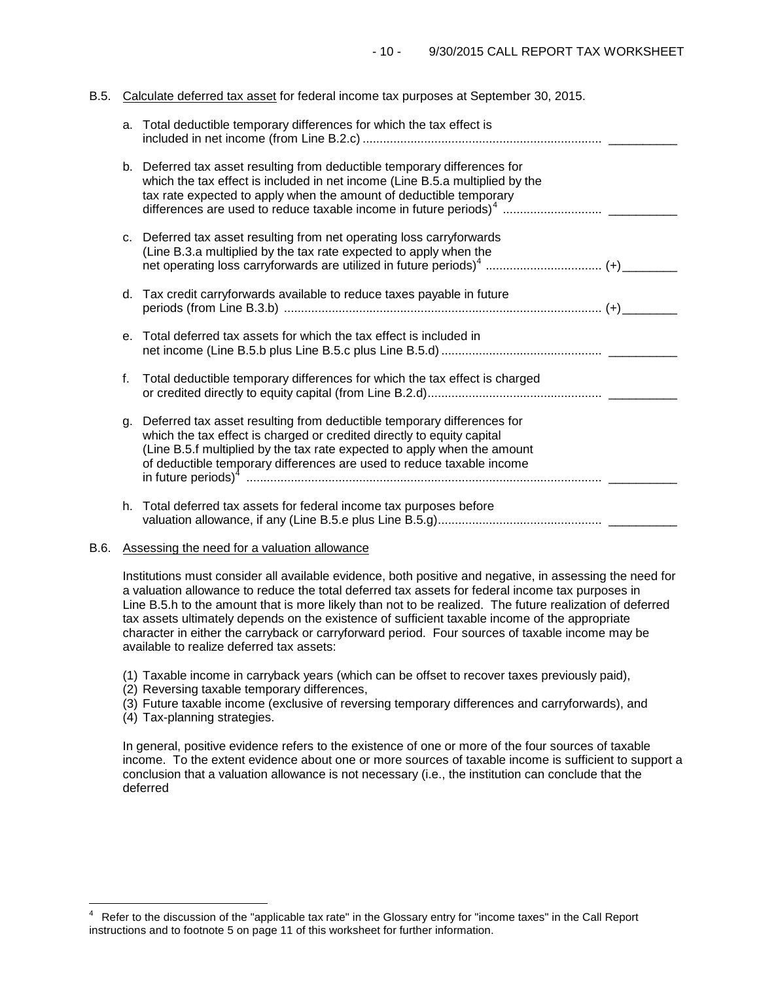# B.5. Calculate deferred tax asset for federal income tax purposes at September 30, 2015.

| a.      | Total deductible temporary differences for which the tax effect is                                                                                                                                                                                                                                    |  |
|---------|-------------------------------------------------------------------------------------------------------------------------------------------------------------------------------------------------------------------------------------------------------------------------------------------------------|--|
|         | b. Deferred tax asset resulting from deductible temporary differences for<br>which the tax effect is included in net income (Line B.5.a multiplied by the<br>tax rate expected to apply when the amount of deductible temporary                                                                       |  |
|         | c. Deferred tax asset resulting from net operating loss carryforwards<br>(Line B.3.a multiplied by the tax rate expected to apply when the                                                                                                                                                            |  |
|         | d. Tax credit carryforwards available to reduce taxes payable in future                                                                                                                                                                                                                               |  |
| $e_{1}$ | Total deferred tax assets for which the tax effect is included in                                                                                                                                                                                                                                     |  |
| f.      | Total deductible temporary differences for which the tax effect is charged                                                                                                                                                                                                                            |  |
| q.      | Deferred tax asset resulting from deductible temporary differences for<br>which the tax effect is charged or credited directly to equity capital<br>(Line B.5.f multiplied by the tax rate expected to apply when the amount<br>of deductible temporary differences are used to reduce taxable income |  |
|         | h. Total deferred tax assets for federal income tax purposes before                                                                                                                                                                                                                                   |  |

## B.6. Assessing the need for a valuation allowance

Institutions must consider all available evidence, both positive and negative, in assessing the need for a valuation allowance to reduce the total deferred tax assets for federal income tax purposes in Line B.5.h to the amount that is more likely than not to be realized. The future realization of deferred tax assets ultimately depends on the existence of sufficient taxable income of the appropriate character in either the carryback or carryforward period. Four sources of taxable income may be available to realize deferred tax assets:

- (1) Taxable income in carryback years (which can be offset to recover taxes previously paid),
- (2) Reversing taxable temporary differences,
- (3) Future taxable income (exclusive of reversing temporary differences and carryforwards), and
- (4) Tax-planning strategies.

In general, positive evidence refers to the existence of one or more of the four sources of taxable income. To the extent evidence about one or more sources of taxable income is sufficient to support a conclusion that a valuation allowance is not necessary (i.e., the institution can conclude that the deferred

<span id="page-9-0"></span> $\frac{1}{4}$ Refer to the discussion of the "applicable tax rate" in the Glossary entry for "income taxes" in the Call Report instructions and to footnote 5 on page 11 of this worksheet for further information.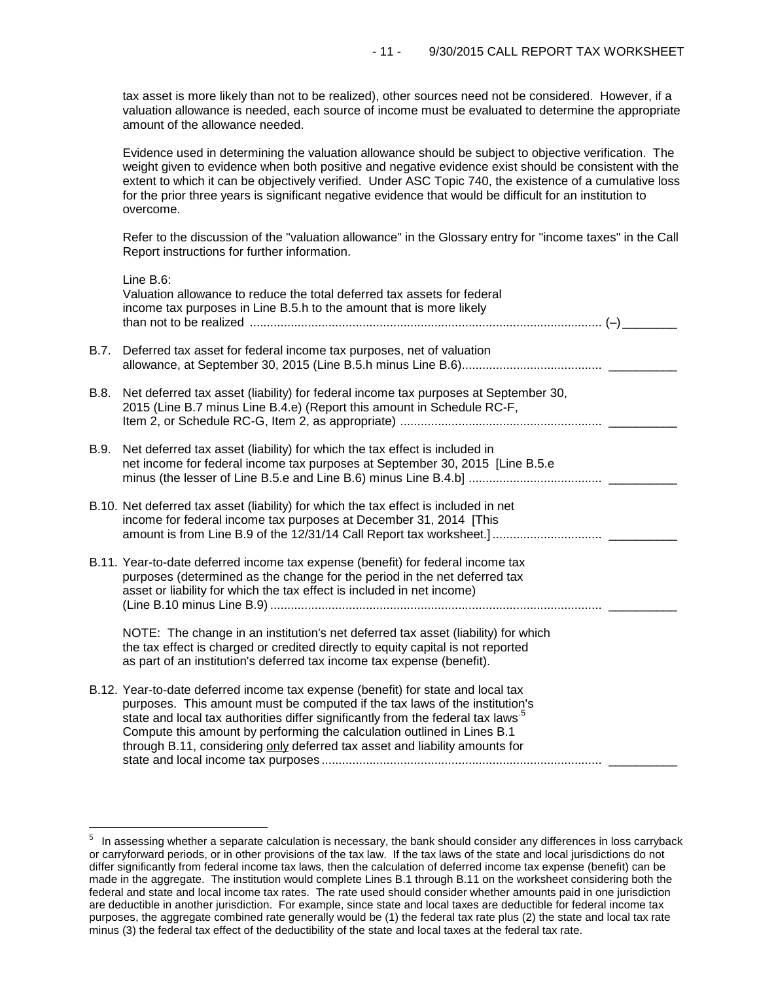tax asset is more likely than not to be realized), other sources need not be considered. However, if a valuation allowance is needed, each source of income must be evaluated to determine the appropriate amount of the allowance needed.

Evidence used in determining the valuation allowance should be subject to objective verification. The weight given to evidence when both positive and negative evidence exist should be consistent with the extent to which it can be objectively verified. Under ASC Topic 740, the existence of a cumulative loss for the prior three years is significant negative evidence that would be difficult for an institution to overcome.

Refer to the discussion of the "valuation allowance" in the Glossary entry for "income taxes" in the Call Report instructions for further information.

|      | Line B.6:<br>Valuation allowance to reduce the total deferred tax assets for federal<br>income tax purposes in Line B.5.h to the amount that is more likely                                                                                                                                                                                                                                                              |
|------|--------------------------------------------------------------------------------------------------------------------------------------------------------------------------------------------------------------------------------------------------------------------------------------------------------------------------------------------------------------------------------------------------------------------------|
| B.7. | Deferred tax asset for federal income tax purposes, net of valuation                                                                                                                                                                                                                                                                                                                                                     |
| B.8. | Net deferred tax asset (liability) for federal income tax purposes at September 30,<br>2015 (Line B.7 minus Line B.4.e) (Report this amount in Schedule RC-F,                                                                                                                                                                                                                                                            |
| B.9. | Net deferred tax asset (liability) for which the tax effect is included in<br>net income for federal income tax purposes at September 30, 2015 [Line B.5.e                                                                                                                                                                                                                                                               |
|      | B.10. Net deferred tax asset (liability) for which the tax effect is included in net<br>income for federal income tax purposes at December 31, 2014 [This                                                                                                                                                                                                                                                                |
|      | B.11. Year-to-date deferred income tax expense (benefit) for federal income tax<br>purposes (determined as the change for the period in the net deferred tax<br>asset or liability for which the tax effect is included in net income)                                                                                                                                                                                   |
|      | NOTE: The change in an institution's net deferred tax asset (liability) for which<br>the tax effect is charged or credited directly to equity capital is not reported<br>as part of an institution's deferred tax income tax expense (benefit).                                                                                                                                                                          |
|      | B.12. Year-to-date deferred income tax expense (benefit) for state and local tax<br>purposes. This amount must be computed if the tax laws of the institution's<br>state and local tax authorities differ significantly from the federal tax laws <sup>5</sup><br>Compute this amount by performing the calculation outlined in Lines B.1<br>through B.11, considering only deferred tax asset and liability amounts for |

<span id="page-10-0"></span> $\frac{1}{\epsilon}$  $5$  In assessing whether a separate calculation is necessary, the bank should consider any differences in loss carryback or carryforward periods, or in other provisions of the tax law. If the tax laws of the state and local jurisdictions do not differ significantly from federal income tax laws, then the calculation of deferred income tax expense (benefit) can be made in the aggregate. The institution would complete Lines B.1 through B.11 on the worksheet considering both the federal and state and local income tax rates. The rate used should consider whether amounts paid in one jurisdiction are deductible in another jurisdiction. For example, since state and local taxes are deductible for federal income tax purposes, the aggregate combined rate generally would be (1) the federal tax rate plus (2) the state and local tax rate minus (3) the federal tax effect of the deductibility of the state and local taxes at the federal tax rate.